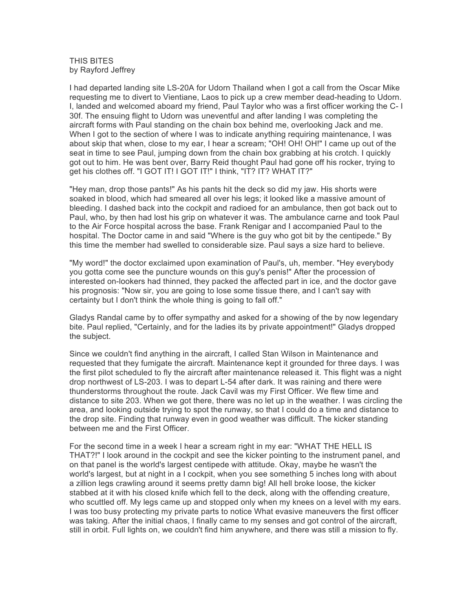## THIS BITES by Rayford Jeffrey

I had departed landing site LS-20A for Udorn Thailand when I got a call from the Oscar Mike requesting me to divert to Vientiane, Laos to pick up a crew member dead-heading to Udorn. I, landed and welcomed aboard my friend, Paul Taylor who was a first officer working the C- I 30f. The ensuing flight to Udorn was uneventful and after landing I was completing the aircraft forms with Paul standing on the chain box behind me, overlooking Jack and me. When I got to the section of where I was to indicate anything requiring maintenance, I was about skip that when, close to my ear, I hear a scream; "OH! OH! OH!" I came up out of the seat in time to see Paul, jumping down from the chain box grabbing at his crotch. I quickly got out to him. He was bent over, Barry Reid thought Paul had gone off his rocker, trying to get his clothes off. "I GOT IT! I GOT IT!" I think, "IT? IT? WHAT IT?"

"Hey man, drop those pants!" As his pants hit the deck so did my jaw. His shorts were soaked in blood, which had smeared all over his legs; it looked like a massive amount of bleeding. I dashed back into the cockpit and radioed for an ambulance, then got back out to Paul, who, by then had lost his grip on whatever it was. The ambulance carne and took Paul to the Air Force hospital across the base. Frank Renigar and I accompanied Paul to the hospital. The Doctor came in and said "Where is the guy who got bit by the centipede." By this time the member had swelled to considerable size. Paul says a size hard to believe.

"My word!" the doctor exclaimed upon examination of Paul's, uh, member. "Hey everybody you gotta come see the puncture wounds on this guy's penis!" After the procession of interested on-lookers had thinned, they packed the affected part in ice, and the doctor gave his prognosis: "Now sir, you are going to lose some tissue there, and I can't say with certainty but I don't think the whole thing is going to fall off."

Gladys Randal came by to offer sympathy and asked for a showing of the by now legendary bite. Paul replied, "Certainly, and for the ladies its by private appointment!" Gladys dropped the subject.

Since we couldn't find anything in the aircraft, I called Stan Wilson in Maintenance and requested that they fumigate the aircraft. Maintenance kept it grounded for three days. I was the first pilot scheduled to fly the aircraft after maintenance released it. This flight was a night drop northwest of LS-203. I was to depart L-54 after dark. It was raining and there were thunderstorms throughout the route. Jack Cavil was my First Officer. We flew time and distance to site 203. When we got there, there was no let up in the weather. I was circling the area, and looking outside trying to spot the runway, so that I could do a time and distance to the drop site. Finding that runway even in good weather was difficult. The kicker standing between me and the First Officer.

For the second time in a week I hear a scream right in my ear: "WHAT THE HELL IS THAT?!" I look around in the cockpit and see the kicker pointing to the instrument panel, and on that panel is the world's largest centipede with attitude. Okay, maybe he wasn't the world's largest, but at night in a I cockpit, when you see something 5 inches long with about a zillion legs crawling around it seems pretty damn big! All hell broke loose, the kicker stabbed at it with his closed knife which fell to the deck, along with the offending creature, who scuttled off. My legs came up and stopped only when my knees on a level with my ears. I was too busy protecting my private parts to notice What evasive maneuvers the first officer was taking. After the initial chaos, I finally came to my senses and got control of the aircraft, still in orbit. Full lights on, we couldn't find him anywhere, and there was still a mission to fly.